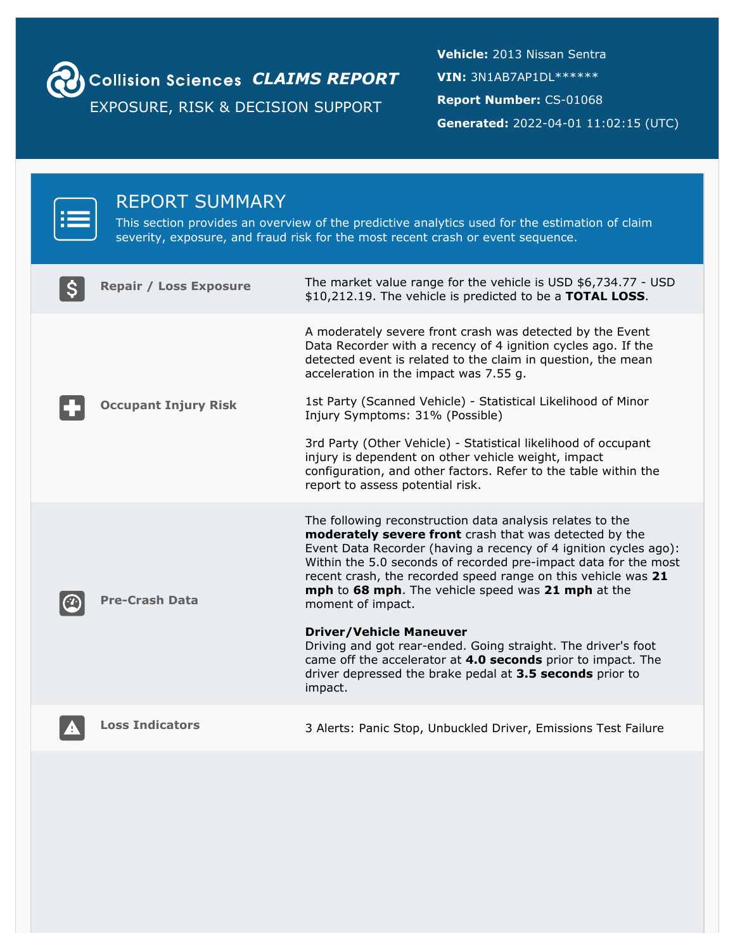

**Collision Sciences CLAIMS REPORT** 

EXPOSURE, RISK & DECISION SUPPORT

**Vehicle:** 2013 Nissan Sentra **VIN:** 3N1AB7AP1DL\*\*\*\*\*\* **Report Number:** CS-01068 **Generated:** 2022-04-01 11:02:15 (UTC)

| <b>REPORT SUMMARY</b>         | This section provides an overview of the predictive analytics used for the estimation of claim<br>severity, exposure, and fraud risk for the most recent crash or event sequence.                                                                                                                                                                                                                                                                                                                                                                                                                                                                |
|-------------------------------|--------------------------------------------------------------------------------------------------------------------------------------------------------------------------------------------------------------------------------------------------------------------------------------------------------------------------------------------------------------------------------------------------------------------------------------------------------------------------------------------------------------------------------------------------------------------------------------------------------------------------------------------------|
| <b>Repair / Loss Exposure</b> | The market value range for the vehicle is USD \$6,734.77 - USD<br>\$10,212.19. The vehicle is predicted to be a TOTAL LOSS.                                                                                                                                                                                                                                                                                                                                                                                                                                                                                                                      |
| <b>Occupant Injury Risk</b>   | A moderately severe front crash was detected by the Event<br>Data Recorder with a recency of 4 ignition cycles ago. If the<br>detected event is related to the claim in question, the mean<br>acceleration in the impact was 7.55 g.<br>1st Party (Scanned Vehicle) - Statistical Likelihood of Minor<br>Injury Symptoms: 31% (Possible)<br>3rd Party (Other Vehicle) - Statistical likelihood of occupant<br>injury is dependent on other vehicle weight, impact<br>configuration, and other factors. Refer to the table within the<br>report to assess potential risk.                                                                         |
| <b>Pre-Crash Data</b>         | The following reconstruction data analysis relates to the<br>moderately severe front crash that was detected by the<br>Event Data Recorder (having a recency of 4 ignition cycles ago):<br>Within the 5.0 seconds of recorded pre-impact data for the most<br>recent crash, the recorded speed range on this vehicle was 21<br>mph to 68 mph. The vehicle speed was 21 mph at the<br>moment of impact.<br><b>Driver/Vehicle Maneuver</b><br>Driving and got rear-ended. Going straight. The driver's foot<br>came off the accelerator at 4.0 seconds prior to impact. The<br>driver depressed the brake pedal at 3.5 seconds prior to<br>impact. |
| <b>Loss Indicators</b>        | 3 Alerts: Panic Stop, Unbuckled Driver, Emissions Test Failure                                                                                                                                                                                                                                                                                                                                                                                                                                                                                                                                                                                   |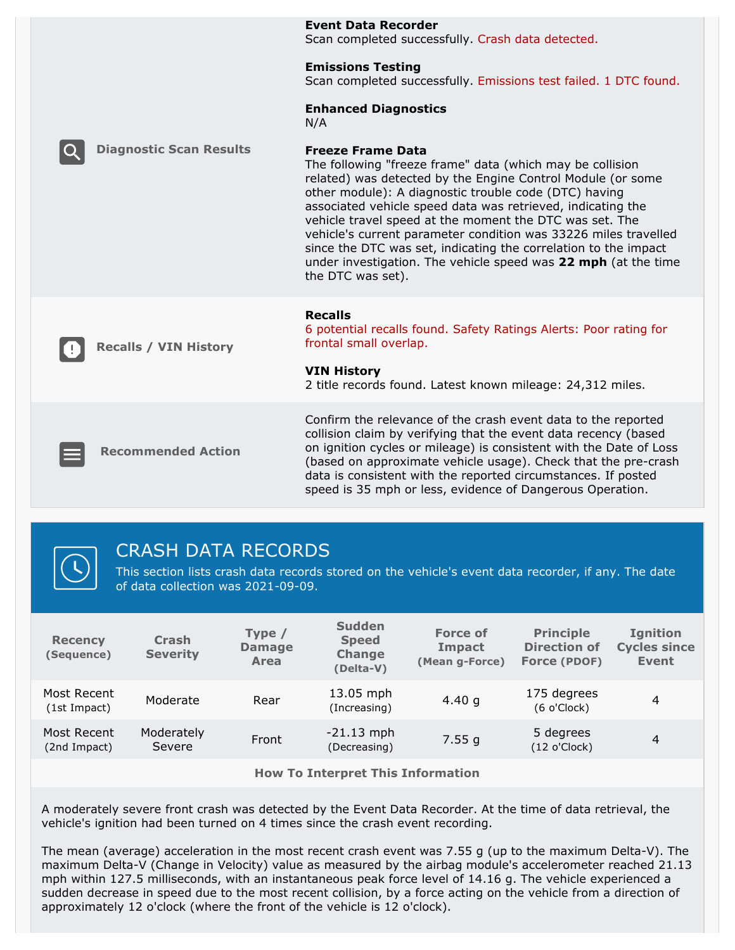|                                | <b>Event Data Recorder</b><br>Scan completed successfully. Crash data detected.                                                                                                                                                                                                                                                                                                                                                                                                                                                                                      |
|--------------------------------|----------------------------------------------------------------------------------------------------------------------------------------------------------------------------------------------------------------------------------------------------------------------------------------------------------------------------------------------------------------------------------------------------------------------------------------------------------------------------------------------------------------------------------------------------------------------|
|                                | <b>Emissions Testing</b><br>Scan completed successfully. Emissions test failed. 1 DTC found.                                                                                                                                                                                                                                                                                                                                                                                                                                                                         |
|                                | <b>Enhanced Diagnostics</b><br>N/A                                                                                                                                                                                                                                                                                                                                                                                                                                                                                                                                   |
| <b>Diagnostic Scan Results</b> | <b>Freeze Frame Data</b><br>The following "freeze frame" data (which may be collision<br>related) was detected by the Engine Control Module (or some<br>other module): A diagnostic trouble code (DTC) having<br>associated vehicle speed data was retrieved, indicating the<br>vehicle travel speed at the moment the DTC was set. The<br>vehicle's current parameter condition was 33226 miles travelled<br>since the DTC was set, indicating the correlation to the impact<br>under investigation. The vehicle speed was 22 mph (at the time<br>the DTC was set). |
| <b>Recalls / VIN History</b>   | <b>Recalls</b><br>6 potential recalls found. Safety Ratings Alerts: Poor rating for<br>frontal small overlap.<br><b>VIN History</b><br>2 title records found. Latest known mileage: 24,312 miles.                                                                                                                                                                                                                                                                                                                                                                    |
| <b>Recommended Action</b>      | Confirm the relevance of the crash event data to the reported<br>collision claim by verifying that the event data recency (based<br>on ignition cycles or mileage) is consistent with the Date of Loss<br>(based on approximate vehicle usage). Check that the pre-crash<br>data is consistent with the reported circumstances. If posted<br>speed is 35 mph or less, evidence of Dangerous Operation.                                                                                                                                                               |



# CRASH DATA RECORDS

This section lists crash data records stored on the vehicle's event data recorder, if any. The date of data collection was 2021-09-09.

| <b>Principle</b><br><b>Force of</b><br><b>Ignition</b><br>Type $/$<br><b>Crash</b><br><b>Speed</b><br><b>Recency</b><br><b>Direction of</b><br><b>Damage</b><br>Impact<br><b>Severity</b><br><b>Change</b><br>(Sequence)<br>(Mean g-Force)<br>Force (PDOF)<br><b>Area</b><br>(Delta-V) | <b>Cycles since</b><br>Event |
|----------------------------------------------------------------------------------------------------------------------------------------------------------------------------------------------------------------------------------------------------------------------------------------|------------------------------|
| 13.05 mph<br>Most Recent<br>175 degrees<br>Moderate<br>4.40 $g$<br>Rear<br>(6 o'Clock)<br>(Increasing)<br>(1st Impact)                                                                                                                                                                 | 4                            |
| Moderately<br>$-21.13$ mph<br>Most Recent<br>5 degrees<br>7.55g<br>Front<br>Severe<br>(12 o'Clock)<br>(Decreasing)<br>(2nd Impact)                                                                                                                                                     | 4                            |

**How To Interpret This Information**

A moderately severe front crash was detected by the Event Data Recorder. At the time of data retrieval, the vehicle's ignition had been turned on 4 times since the crash event recording.

The mean (average) acceleration in the most recent crash event was 7.55 g (up to the maximum Delta-V). The maximum Delta-V (Change in Velocity) value as measured by the airbag module's accelerometer reached 21.13 mph within 127.5 milliseconds, with an instantaneous peak force level of 14.16 g. The vehicle experienced a sudden decrease in speed due to the most recent collision, by a force acting on the vehicle from a direction of approximately 12 o'clock (where the front of the vehicle is 12 o'clock).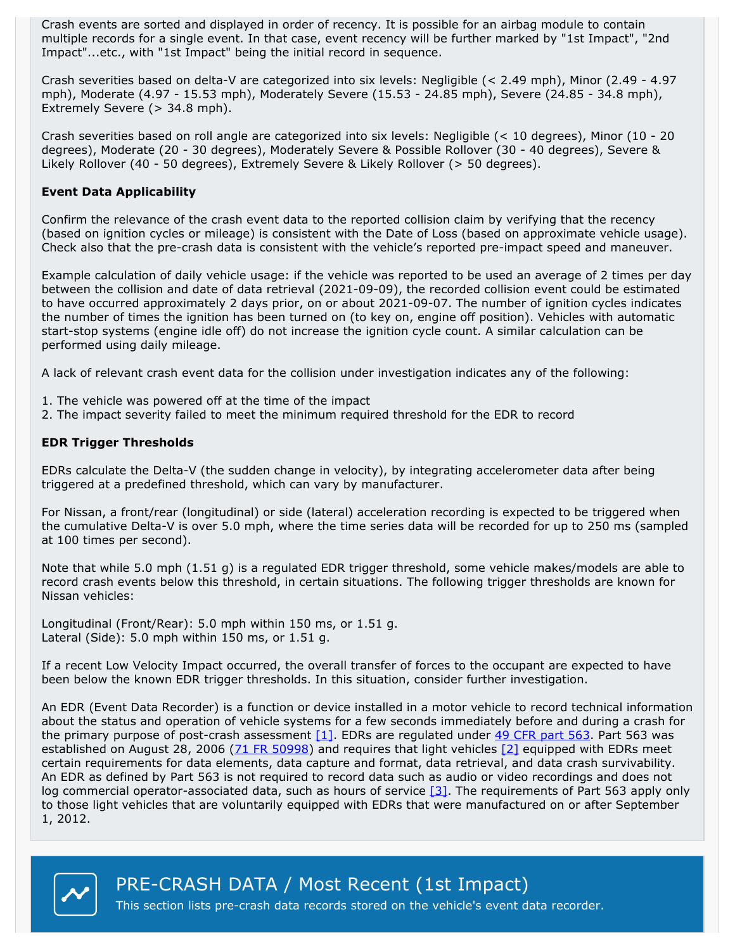Crash events are sorted and displayed in order of recency. It is possible for an airbag module to contain multiple records for a single event. In that case, event recency will be further marked by "1st Impact", "2nd Impact"...etc., with "1st Impact" being the initial record in sequence.

Crash severities based on delta-V are categorized into six levels: Negligible (< 2.49 mph), Minor (2.49 - 4.97 mph), Moderate (4.97 - 15.53 mph), Moderately Severe (15.53 - 24.85 mph), Severe (24.85 - 34.8 mph), Extremely Severe (> 34.8 mph).

Crash severities based on roll angle are categorized into six levels: Negligible (< 10 degrees), Minor (10 - 20 degrees), Moderate (20 - 30 degrees), Moderately Severe & Possible Rollover (30 - 40 degrees), Severe & Likely Rollover (40 - 50 degrees), Extremely Severe & Likely Rollover (> 50 degrees).

#### **Event Data Applicability**

Confirm the relevance of the crash event data to the reported collision claim by verifying that the recency (based on ignition cycles or mileage) is consistent with the Date of Loss (based on approximate vehicle usage). Check also that the pre-crash data is consistent with the vehicle's reported pre-impact speed and maneuver.

Example calculation of daily vehicle usage: ifthe vehicle was reported to be used an average of 2 times per day between the collision and date of data retrieval (2021-09-09), the recorded collision event could be estimated to have occurred approximately 2 days prior, on or about 2021-09-07. The number of ignition cycles indicates the number of times the ignition has been turned on (to key on, engine off position). Vehicles with automatic start-stop systems (engine idle off) do not increase the ignition cycle count. A similar calculation can be performed using daily mileage.

A lack of relevant crash event data for the collision under investigation indicates any of the following:

- 1. The vehicle was powered off at the time of the impact
- 2. The impact severity failed to meet the minimum required threshold for the EDR to record

#### **EDR Trigger Thresholds**

EDRs calculate the Delta-V (the sudden change in velocity), by integrating accelerometer data after being triggered at a predefined threshold, which can vary by manufacturer.

For Nissan, a front/rear (longitudinal) or side (lateral) acceleration recording is expected to be triggered when the cumulative Delta-V is over 5.0 mph, where the time series data will be recorded for up to 250 ms (sampled at 100 times per second).

Note that while 5.0 mph (1.51 g) is a regulated EDR trigger threshold, some vehicle makes/models are able to record crash events below this threshold, in certain situations. The following trigger thresholds are known for Nissan vehicles:

Longitudinal (Front/Rear): 5.0 mph within <sup>150</sup> ms, or 1.51 g. Lateral (Side): 5.0 mph within <sup>150</sup> ms, or 1.51 g.

If a recent Low Velocity Impact occurred, the overall transfer of forces to the occupant are expected to have been below the known EDR trigger thresholds. In this situation, consider further investigation.

An EDR (Event Data Recorder) is a function or device installed in a motor vehicle to record technical information about the status and operation of vehicle systems for a few seconds immediately before and during a crash for the primary purpose of post-crash assessment  $[1]$ . EDRs are regulated under 49 CFR [part](https://www.federalregister.gov/select-citation/2019/02/08/49-CFR-563) 563. Part 563 was established on August 28, 2006 (71 FR [50998](https://www.federalregister.gov/citation/71-FR-50998)) and requires that light vehicles [\[2\]](https://www.federalregister.gov/documents/2019/02/08/2019-01651/federal-motor-vehicle-safety-standards-event-data-recorders#footnote-2-p2805) equipped with EDRs meet certain requirements for data elements, data capture and format, data retrieval, and data crash survivability.<br>An EDR as defined by Part 563 is not required to record data such as audio or video recordings and does not log commercial operator-associated data, such as hours of service  $[3]$ . The requirements of Part 563 apply only to those light vehicles that are voluntarily equipped with EDRs that were manufactured on or after September 1, 2012.



PRE-CRASH DATA / Most Recent (1st Impact)

This section lists pre-crash data records stored on the vehicle's event data recorder.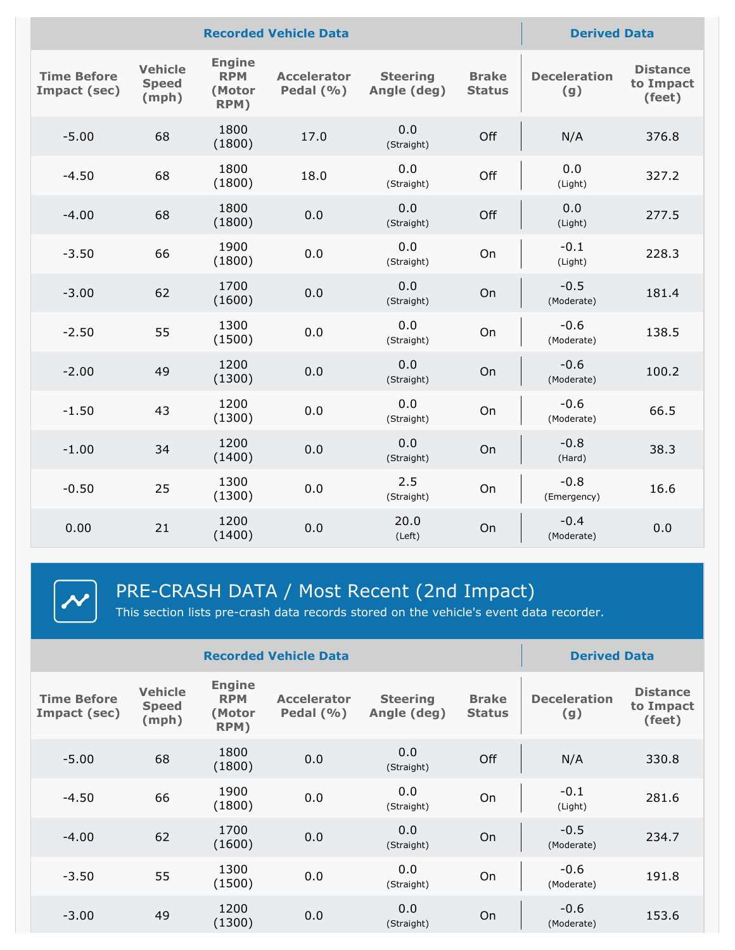|                                    |                                         |                                               | <b>Recorded Vehicle Data</b>       |                                |                               | <b>Derived Data</b>        |                                        |
|------------------------------------|-----------------------------------------|-----------------------------------------------|------------------------------------|--------------------------------|-------------------------------|----------------------------|----------------------------------------|
| <b>Time Before</b><br>Impact (sec) | <b>Vehicle</b><br><b>Speed</b><br>(mph) | <b>Engine</b><br><b>RPM</b><br>(Motor<br>RPM) | <b>Accelerator</b><br>Pedal $(% )$ | <b>Steering</b><br>Angle (deg) | <b>Brake</b><br><b>Status</b> | <b>Deceleration</b><br>(g) | <b>Distance</b><br>to Impact<br>(feet) |
| $-5.00$                            | 68                                      | 1800<br>(1800)                                | 17.0                               | 0.0<br>(Straight)              | Off                           | N/A                        | 376.8                                  |
| $-4.50$                            | 68                                      | 1800<br>(1800)                                | 18.0                               | 0.0<br>(Straight)              | Off                           | 0.0<br>(Light)             | 327.2                                  |
| $-4.00$                            | 68                                      | 1800<br>(1800)                                | 0.0                                | 0.0<br>(Straight)              | Off                           | 0.0<br>(Light)             | 277.5                                  |
| $-3.50$                            | 66                                      | 1900<br>(1800)                                | 0.0                                | 0.0<br>(Straight)              | On                            | $-0.1$<br>(Light)          | 228.3                                  |
| $-3.00$                            | 62                                      | 1700<br>(1600)                                | 0.0                                | 0.0<br>(Straight)              | On                            | $-0.5$<br>(Moderate)       | 181.4                                  |
| $-2.50$                            | 55                                      | 1300<br>(1500)                                | 0.0                                | 0.0<br>(Straight)              | On                            | $-0.6$<br>(Moderate)       | 138.5                                  |
| $-2.00$                            | 49                                      | 1200<br>(1300)                                | 0.0                                | 0.0<br>(Straight)              | On                            | $-0.6$<br>(Moderate)       | 100.2                                  |
| $-1.50$                            | 43                                      | 1200<br>(1300)                                | 0.0                                | 0.0<br>(Straight)              | On                            | $-0.6$<br>(Moderate)       | 66.5                                   |
| $-1.00$                            | 34                                      | 1200<br>(1400)                                | 0.0                                | 0.0<br>(Straight)              | On                            | $-0.8$<br>(Hard)           | 38.3                                   |
| $-0.50$                            | 25                                      | 1300<br>(1300)                                | 0.0                                | 2.5<br>(Straight)              | On                            | $-0.8$<br>(Emergency)      | 16.6                                   |
| 0.00                               | 21                                      | 1200<br>(1400)                                | 0.0                                | 20.0<br>(Left)                 | On                            | $-0.4$<br>(Moderate)       | 0.0                                    |
|                                    |                                         |                                               |                                    |                                |                               |                            |                                        |

 $\left|\boldsymbol{\mathcal{N}}\right|$ 

PRE-CRASH DATA / Most Recent (2nd Impact)

This section lists pre-crash data records stored on the vehicle's event data recorder.

| <b>Recorded Vehicle Data</b>       |                                         |                                               |                                     |                                |                               | <b>Derived Data</b>        |                                        |
|------------------------------------|-----------------------------------------|-----------------------------------------------|-------------------------------------|--------------------------------|-------------------------------|----------------------------|----------------------------------------|
| <b>Time Before</b><br>Impact (sec) | <b>Vehicle</b><br><b>Speed</b><br>(mph) | <b>Engine</b><br><b>RPM</b><br>(Motor<br>RPM) | <b>Accelerator</b><br>Pedal $(\% )$ | <b>Steering</b><br>Angle (deg) | <b>Brake</b><br><b>Status</b> | <b>Deceleration</b><br>(g) | <b>Distance</b><br>to Impact<br>(feet) |
| $-5.00$                            | 68                                      | 1800<br>(1800)                                | 0.0                                 | 0.0<br>(Straight)              | Off                           | N/A                        | 330.8                                  |
| $-4.50$                            | 66                                      | 1900<br>(1800)                                | 0.0                                 | 0.0<br>(Straight)              | On                            | $-0.1$<br>(Light)          | 281.6                                  |
| $-4.00$                            | 62                                      | 1700<br>(1600)                                | 0.0                                 | 0.0<br>(Straight)              | On                            | $-0.5$<br>(Moderate)       | 234.7                                  |
| $-3.50$                            | 55                                      | 1300<br>(1500)                                | 0.0                                 | 0.0<br>(Straight)              | On                            | $-0.6$<br>(Moderate)       | 191.8                                  |
| $-3.00$                            | 49                                      | 1200<br>(1300)                                | 0.0                                 | 0.0<br>(Straight)              | On                            | $-0.6$<br>(Moderate)       | 153.6                                  |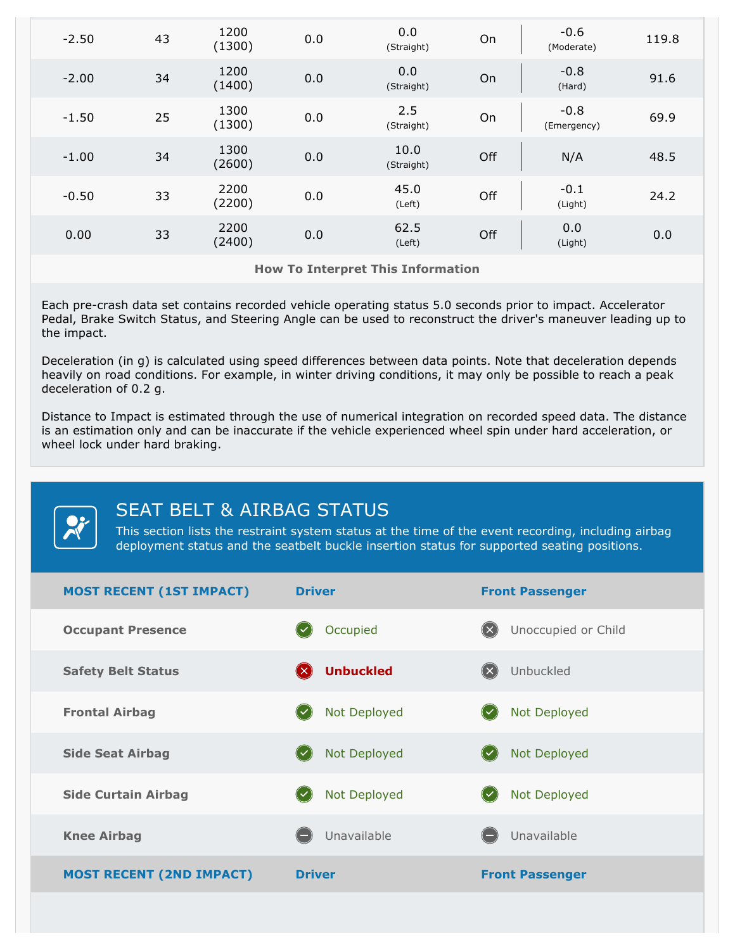| $-2.50$ | 43 | 1200<br>(1300) | 0.0 | 0.0<br>(Straight)  | On  | $-0.6$<br>(Moderate)  | 119.8 |  |
|---------|----|----------------|-----|--------------------|-----|-----------------------|-------|--|
| $-2.00$ | 34 | 1200<br>(1400) | 0.0 | 0.0<br>(Straight)  | On  | $-0.8$<br>(Hard)      | 91.6  |  |
| $-1.50$ | 25 | 1300<br>(1300) | 0.0 | 2.5<br>(Straight)  | On  | $-0.8$<br>(Emergency) | 69.9  |  |
| $-1.00$ | 34 | 1300<br>(2600) | 0.0 | 10.0<br>(Straight) | Off | N/A                   | 48.5  |  |
| $-0.50$ | 33 | 2200<br>(2200) | 0.0 | 45.0<br>(Left)     | Off | $-0.1$<br>(Light)     | 24.2  |  |
| 0.00    | 33 | 2200<br>(2400) | 0.0 | 62.5<br>(Left)     | Off | 0.0<br>(Light)        | 0.0   |  |

**How To Interpret This Information**

Each pre-crash data set contains recorded vehicle operating status 5.0 seconds prior to impact. Accelerator Pedal, Brake Switch Status, and Steering Angle can be used to reconstruct the driver's maneuver leading up to the impact.

Deceleration (in g) is calculated using speed differences between data points. Note that deceleration depends heavily on road conditions. For example, in winter driving conditions, it may only be possible to reach a peak deceleration of 0.2 g.

Distance to Impact is estimated through the use of numerical integration on recorded speed data. The distance is an estimation only and can be inaccurate if the vehicle experienced wheel spin under hard acceleration, or wheel lock under hard braking.

SEAT BELT & AIRBAG STATUS

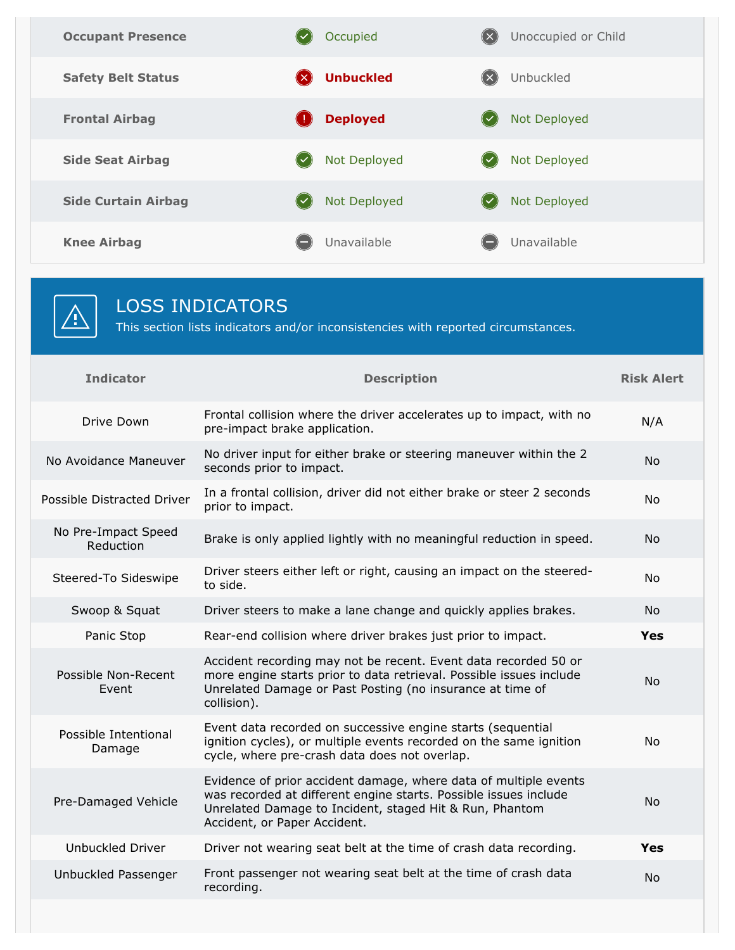

# LOSS INDICATORS

This section lists indicators and/or inconsistencies with reported circumstances.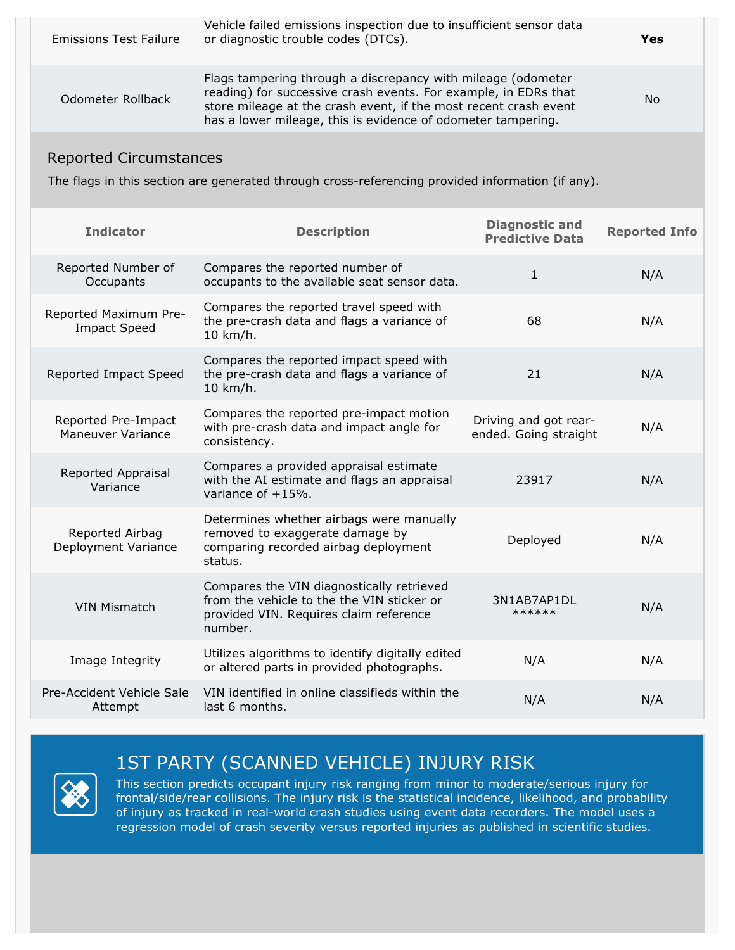| <b>Emissions Test Failure</b> | Vehicle failed emissions inspection due to insufficient sensor data<br>or diagnostic trouble codes (DTCs).                                                                                                                                                          | Yes |
|-------------------------------|---------------------------------------------------------------------------------------------------------------------------------------------------------------------------------------------------------------------------------------------------------------------|-----|
| Odometer Rollback             | Flags tampering through a discrepancy with mileage (odometer<br>reading) for successive crash events. For example, in EDRs that<br>store mileage at the crash event, if the most recent crash event<br>has a lower mileage, this is evidence of odometer tampering. | No  |
|                               |                                                                                                                                                                                                                                                                     |     |

# Reported Circumstances

The flags in this section are generated through cross-referencing provided information (if any).

| <b>Indicator</b>                                | <b>Description</b>                                                                                                                           | <b>Diagnostic and</b><br><b>Predictive Data</b> | <b>Reported Info</b> |
|-------------------------------------------------|----------------------------------------------------------------------------------------------------------------------------------------------|-------------------------------------------------|----------------------|
| Reported Number of<br>Occupants                 | Compares the reported number of<br>occupants to the available seat sensor data.                                                              | $\mathbf{1}$                                    | N/A                  |
| Reported Maximum Pre-<br><b>Impact Speed</b>    | Compares the reported travel speed with<br>the pre-crash data and flags a variance of<br>10 km/h.                                            | 68                                              | N/A                  |
| Reported Impact Speed                           | Compares the reported impact speed with<br>the pre-crash data and flags a variance of<br>10 km/h.                                            | 21                                              | N/A                  |
| Reported Pre-Impact<br><b>Maneuver Variance</b> | Compares the reported pre-impact motion<br>with pre-crash data and impact angle for<br>consistency.                                          | Driving and got rear-<br>ended. Going straight  | N/A                  |
| Reported Appraisal<br>Variance                  | Compares a provided appraisal estimate<br>with the AI estimate and flags an appraisal<br>variance of $+15%$ .                                | 23917                                           | N/A                  |
| Reported Airbag<br>Deployment Variance          | Determines whether airbags were manually<br>removed to exaggerate damage by<br>comparing recorded airbag deployment<br>status.               | Deployed                                        | N/A                  |
| <b>VIN Mismatch</b>                             | Compares the VIN diagnostically retrieved<br>from the vehicle to the the VIN sticker or<br>provided VIN. Requires claim reference<br>number. | 3N1AB7AP1DL<br>******                           | N/A                  |
| Image Integrity                                 | Utilizes algorithms to identify digitally edited<br>or altered parts in provided photographs.                                                | N/A                                             | N/A                  |
| Pre-Accident Vehicle Sale<br>Attempt            | VIN identified in online classifieds within the<br>last 6 months.                                                                            | N/A                                             | N/A                  |

# 1ST PARTY (SCANNED VEHICLE) INJURY RISK



This section predicts occupant injury risk ranging from minor to moderate/serious injury for frontal/side/rear collisions. The injury risk is the statistical incidence, likelihood, and probability of injury as tracked in real-world crash studies using event data recorders. The model uses a regression model of crash severity versus reported injuries as published in scientific studies.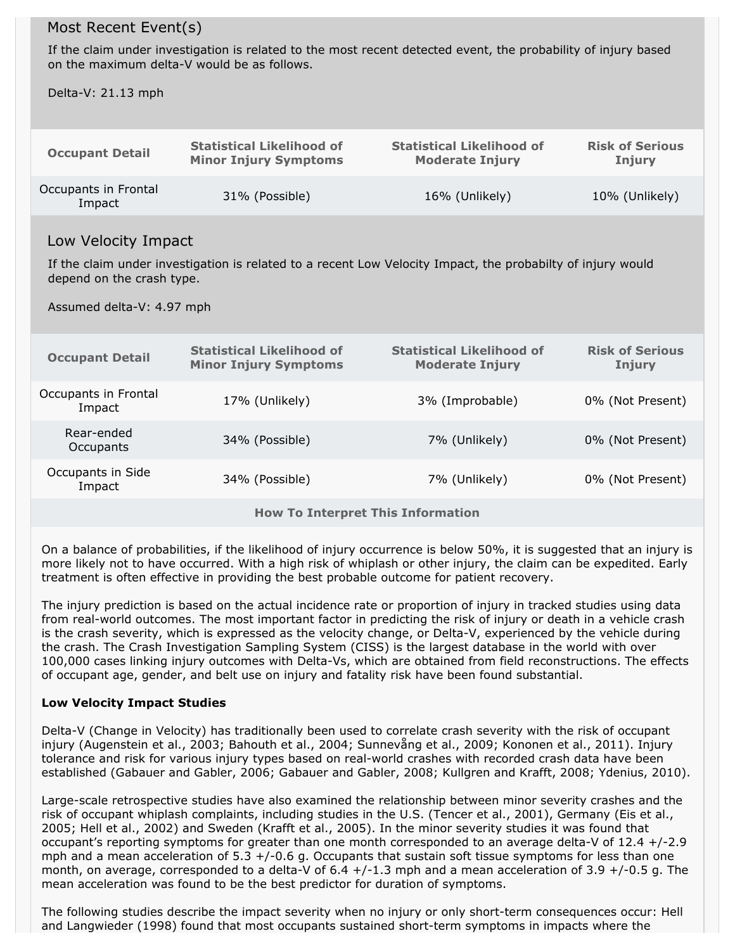### Most Recent Event(s)

If the claim under investigation is related to the most recent detected event, the probability of injury based on the maximum delta-V would be as follows.

Delta-V: 21.13 mph

| <b>Occupant Detail</b>         | <b>Statistical Likelihood of</b> | <b>Statistical Likelihood of</b> | <b>Risk of Serious</b> |
|--------------------------------|----------------------------------|----------------------------------|------------------------|
|                                | <b>Minor Injury Symptoms</b>     | <b>Moderate Injury</b>           | Injury                 |
| Occupants in Frontal<br>Impact | 31% (Possible)                   | 16% (Unlikely)                   | 10% (Unlikely)         |

### Low Velocity Impact

If the claim under investigation is related to a recent Low Velocity Impact, the probabilty of injury would depend on the crash type.

Assumed delta-V: 4.97 mph

| <b>Occupant Detail</b>                                                             | <b>Statistical Likelihood of</b><br><b>Minor Injury Symptoms</b> | <b>Statistical Likelihood of</b><br><b>Moderate Injury</b> | <b>Risk of Serious</b><br>Injury |  |  |  |
|------------------------------------------------------------------------------------|------------------------------------------------------------------|------------------------------------------------------------|----------------------------------|--|--|--|
| Occupants in Frontal<br>Impact                                                     | 17% (Unlikely)                                                   | 3% (Improbable)                                            | 0% (Not Present)                 |  |  |  |
| Rear-ended<br>Occupants                                                            | 34% (Possible)                                                   | 7% (Unlikely)                                              | 0% (Not Present)                 |  |  |  |
| Occupants in Side<br>34% (Possible)<br>7% (Unlikely)<br>0% (Not Present)<br>Impact |                                                                  |                                                            |                                  |  |  |  |
| <b>How To Interpret This Information</b>                                           |                                                                  |                                                            |                                  |  |  |  |

On a balance of probabilities, if the likelihood of injury occurrence is below 50%, it is suggested that an injury is more likely not to have occurred. With a high risk of whiplash or other injury, the claim can be expedited. Early treatment is often effective in providing the best probable outcome for patient recovery.

The injury prediction is based on the actual incidence rate or proportion of injury in tracked studies using data from real-world outcomes. The most important factor in predicting the risk of injury or death in a vehicle crash is the crash severity, which is expressed as the velocity change, or Delta-V, experienced by the vehicle during the crash. The Crash Investigation Sampling System (CISS) is the largest database in the world with over 100,000 cases linking injury outcomes with Delta-Vs, which are obtained from field reconstructions. The effects of occupant age, gender, and belt use on injury and fatality risk have been found substantial.

#### **Low Velocity Impact Studies**

Delta-V (Change in Velocity) has traditionally been used to correlate crash severity with the risk of occupant injury (Augenstein et al., 2003; Bahouth et al., 2004; Sunnevång et al., 2009; Kononen et al., 2011). Injury tolerance and risk for various injury types based on real-world crashes with recorded crash data have been established (Gabauer and Gabler, 2006; Gabauer and Gabler, 2008; Kullgren and Krafft, 2008; Ydenius, 2010).

Large-scale retrospective studies have also examined the relationship between minor severity crashes and the risk of occupant whiplash complaints, including studies in the U.S. (Tencer et al., 2001), Germany (Eis et al.,<br>2005; Hell et al., 2002) and Sweden (Krafft et al., 2005). In the minor severity studies it was found that occupant's reporting symptoms for greater than one month corresponded to an average delta-V of 12.4 +/-2.9 mph and a mean acceleration of  $5.3 + (-0.6 g.$  Occupants that sustain soft tissue symptoms for less than one month, on average, corresponded to a delta-V of  $6.4 +/-1.3$  mph and a mean acceleration of  $3.9 +/-0.5$  g. The mean acceleration was found to be the best predictor for duration of symptoms.

The following studies describe the impact severity when no injury or only short-term consequences occur: Hell and Langwieder (1998) found that most occupants sustained short-term symptoms in impacts where the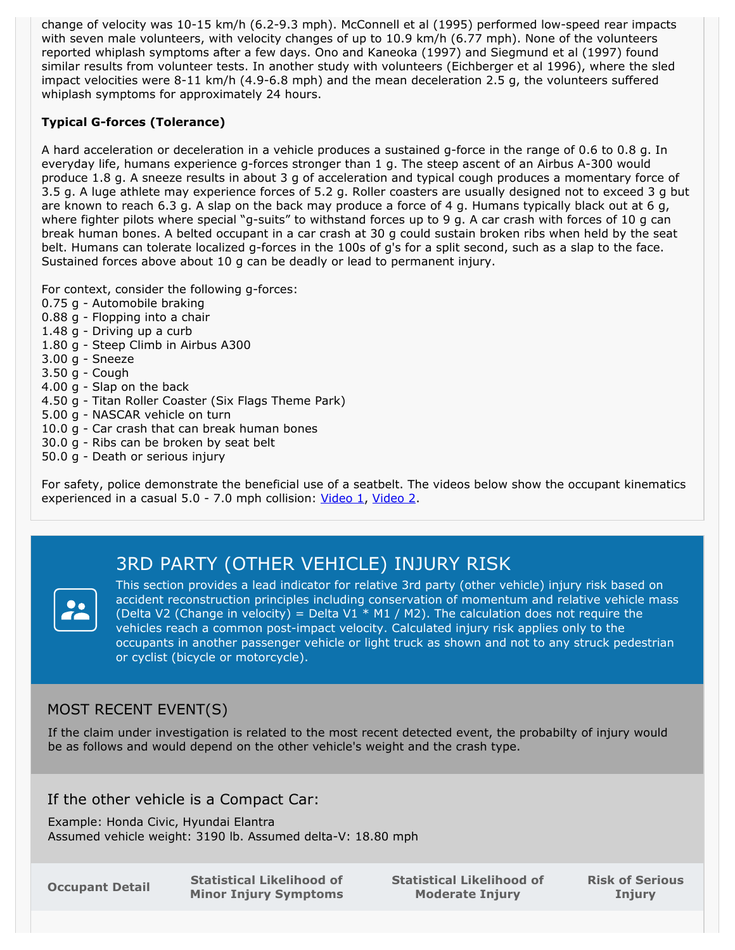change of velocity was 10-15 km/h (6.2-9.3 mph). McConnell et al (1995) performed low-speed rear impacts with seven male volunteers, with velocity changes of up to 10.9 km/h (6.77 mph). None of the volunteers reported whiplash symptoms after a few days. Ono and Kaneoka (1997) and Siegmund et al (1997) found similar results from volunteer tests. In another study with volunteers (Eichberger et al 1996), where the sled impact velocities were 8-11 km/h (4.9-6.8 mph) and the mean deceleration 2.5 g, the volunteers suffered whiplash symptoms for approximately 24 hours.

### **Typical G-forces (Tolerance)**

A hard acceleration or deceleration in a vehicle produces a sustained g-force in the range of 0.6 to 0.8 g. In everyday life, humans experience g-forces stronger than 1 g. The steep ascent of an Airbus A-300 would produce 1.8 g. A sneeze results in about 3 g of acceleration and typical cough produces a momentary force of 3.5 g. A luge athlete may experience forces of 5.2 g. Roller coasters are usually designed not to exceed 3 g but are known to reach 6.3 g. A slap on the back may produce a force of 4 g. Humans typically black out at 6 g, where fighter pilots where special "g-suits" to withstand forces up to 9 g. A car crash with forces of 10 g can break human bones. A belted occupant in a car crash at 30 g could sustain broken ribs when held by the seat belt. Humans can tolerate localized g-forces in the 100s of g's for a split second, such as a slap to the face.<br>Sustained forces above about 10 g can be deadly or lead to permanent injury.

For context, consider the following g-forces:

- 0.75 g Automobile braking
- 0.88 g Flopping into a chair
- 1.48 g Driving up a curb
- 1.80 g Steep Climb in Airbus A300
- 3.00 g Sneeze
- 3.50 g Cough
- 4.00 g Slap on the back
- 4.50 g Titan Roller Coaster (Six Flags Theme Park)
- 5.00 g NASCAR vehicle on turn
- 10.0 g Car crash that can break human bones
- 30.0 g Ribs can be broken by seat belt
- 50.0 g Death or serious injury

For safety, police demonstrate the beneficial use of a seatbelt. The videos below show the occupant kinematics experienced in a casual 5.0 - 7.0 mph collision: [Video](https://www.youtube.com/watch?v=4vf1_-tQwBE&t=34) 1, Video 2.

# 3RD PARTY (OTHER VEHICLE) INJURY RISK



This section provides a lead indicator for relative 3rd party (other vehicle) injury risk based on accident reconstruction principles including conservation of momentum and relative vehicle mass (Delta V2 (Change in velocity) = Delta V1  $*$  M1 / M2). The calculation does not require the vehicles reach a common post-impact velocity. Calculated injury risk applies only to the occupants in another passenger vehicle or light truck as shown and not to any struck pedestrian or cyclist (bicycle or motorcycle).

# MOST RECENT EVENT(S)

If the claim under investigation is related to the most recent detected event, the probabilty of injury would be as follows and would depend on the other vehicle's weight and the crash type.

### If the other vehicle is a Compact Car:

Example: Honda Civic, Hyundai Elantra Assumed vehicle weight: 3190 lb. Assumed delta-V: 18.80 mph

**Occupant Detail Statistical Likelihood of Minor Injury Symptoms** **Statistical Likelihood of Moderate Injury**

**Risk of Serious Injury**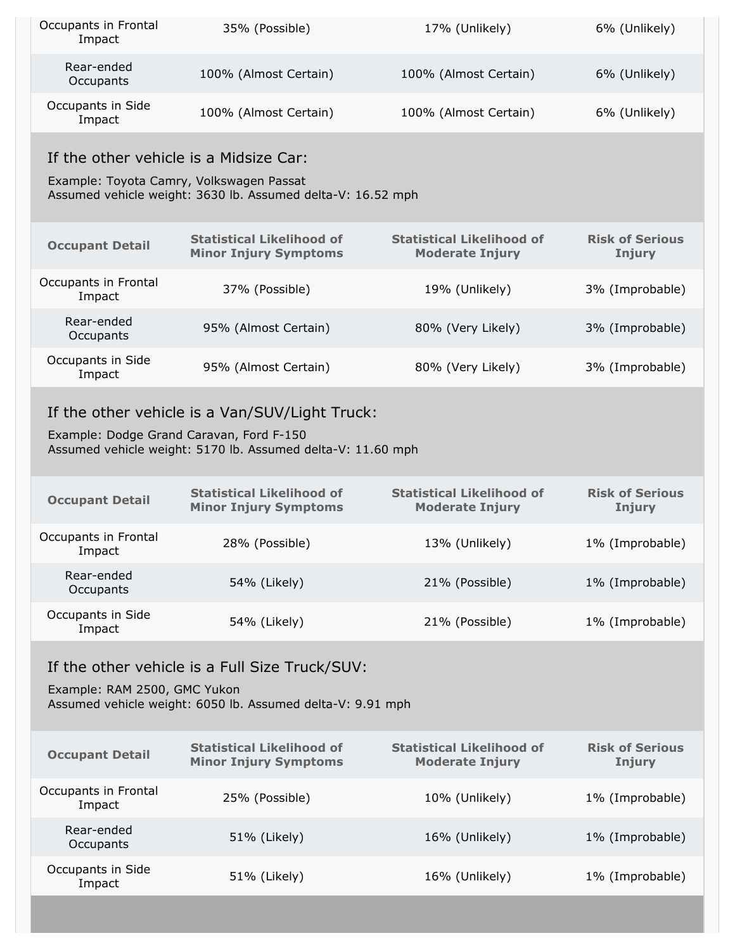| Occupants in Frontal<br>Impact                                                                                                               | 35% (Possible)                                                                                                                                            | 17% (Unlikely)                                             | 6% (Unlikely)                           |  |  |  |  |  |
|----------------------------------------------------------------------------------------------------------------------------------------------|-----------------------------------------------------------------------------------------------------------------------------------------------------------|------------------------------------------------------------|-----------------------------------------|--|--|--|--|--|
| Rear-ended<br>Occupants                                                                                                                      | 100% (Almost Certain)                                                                                                                                     | 100% (Almost Certain)                                      | 6% (Unlikely)                           |  |  |  |  |  |
| Occupants in Side<br>Impact                                                                                                                  | 100% (Almost Certain)                                                                                                                                     | 100% (Almost Certain)                                      | 6% (Unlikely)                           |  |  |  |  |  |
|                                                                                                                                              | If the other vehicle is a Midsize Car:                                                                                                                    |                                                            |                                         |  |  |  |  |  |
|                                                                                                                                              | Example: Toyota Camry, Volkswagen Passat<br>Assumed vehicle weight: 3630 lb. Assumed delta-V: 16.52 mph                                                   |                                                            |                                         |  |  |  |  |  |
| <b>Occupant Detail</b>                                                                                                                       | <b>Statistical Likelihood of</b><br><b>Minor Injury Symptoms</b>                                                                                          | <b>Statistical Likelihood of</b><br><b>Moderate Injury</b> | <b>Risk of Serious</b><br><b>Injury</b> |  |  |  |  |  |
| Occupants in Frontal<br>Impact                                                                                                               | 37% (Possible)                                                                                                                                            | 19% (Unlikely)                                             | 3% (Improbable)                         |  |  |  |  |  |
| Rear-ended<br>Occupants                                                                                                                      | 95% (Almost Certain)                                                                                                                                      | 80% (Very Likely)                                          | 3% (Improbable)                         |  |  |  |  |  |
| Occupants in Side<br>Impact                                                                                                                  | 95% (Almost Certain)                                                                                                                                      | 80% (Very Likely)                                          | 3% (Improbable)                         |  |  |  |  |  |
|                                                                                                                                              | If the other vehicle is a Van/SUV/Light Truck:<br>Example: Dodge Grand Caravan, Ford F-150<br>Assumed vehicle weight: 5170 lb. Assumed delta-V: 11.60 mph |                                                            |                                         |  |  |  |  |  |
| <b>Occupant Detail</b>                                                                                                                       | <b>Statistical Likelihood of</b><br><b>Minor Injury Symptoms</b>                                                                                          | <b>Statistical Likelihood of</b><br><b>Moderate Injury</b> | <b>Risk of Serious</b><br><b>Injury</b> |  |  |  |  |  |
| Occupants in Frontal<br>Impact                                                                                                               | 28% (Possible)                                                                                                                                            | 13% (Unlikely)                                             | 1% (Improbable)                         |  |  |  |  |  |
| Rear-ended<br>Occupants                                                                                                                      | 54% (Likely)                                                                                                                                              | 21% (Possible)                                             | 1% (Improbable)                         |  |  |  |  |  |
| Occupants in Side<br>Impact                                                                                                                  | 54% (Likely)                                                                                                                                              | 21% (Possible)                                             | 1% (Improbable)                         |  |  |  |  |  |
| If the other vehicle is a Full Size Truck/SUV:<br>Example: RAM 2500, GMC Yukon<br>Assumed vehicle weight: 6050 lb. Assumed delta-V: 9.91 mph |                                                                                                                                                           |                                                            |                                         |  |  |  |  |  |
| <b>Occupant Detail</b>                                                                                                                       | <b>Statistical Likelihood of</b><br><b>Minor Injury Symptoms</b>                                                                                          | <b>Statistical Likelihood of</b><br><b>Moderate Injury</b> | <b>Risk of Serious</b><br>Injury        |  |  |  |  |  |
| Occupants in Frontal<br>Impact                                                                                                               | 25% (Possible)                                                                                                                                            | 10% (Unlikely)                                             | 1% (Improbable)                         |  |  |  |  |  |
| Rear-ended<br>Occupants                                                                                                                      | 51% (Likely)                                                                                                                                              | 16% (Unlikely)                                             | 1% (Improbable)                         |  |  |  |  |  |
| Occupants in Side<br>Impact                                                                                                                  | 51% (Likely)                                                                                                                                              | 16% (Unlikely)                                             | 1% (Improbable)                         |  |  |  |  |  |
|                                                                                                                                              |                                                                                                                                                           |                                                            |                                         |  |  |  |  |  |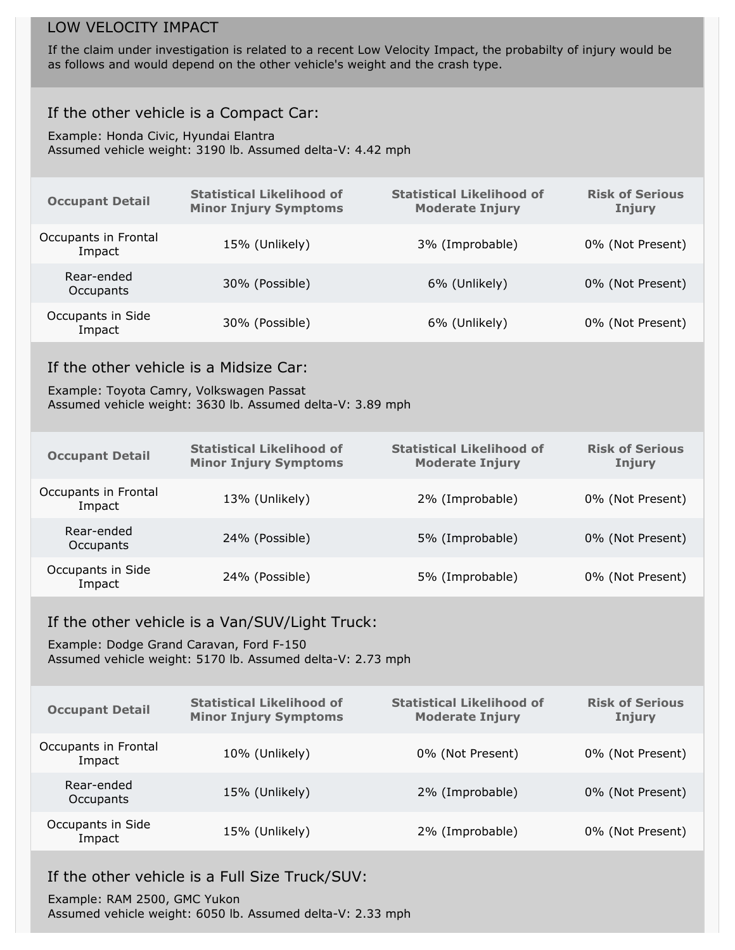# LOW VELOCITY IMPACT

If the claim under investigation is related to a recent Low Velocity Impact, the probabilty of injury would be as follows and would depend on the other vehicle's weight and the crash type.

# If the other vehicle is a Compact Car:

Example: Honda Civic, Hyundai Elantra Assumed vehicle weight: 3190 lb. Assumed delta-V: 4.42 mph

| <b>Occupant Detail</b>                                                                                                                                   | <b>Statistical Likelihood of</b><br><b>Minor Injury Symptoms</b> | <b>Statistical Likelihood of</b><br><b>Moderate Injury</b> | <b>Risk of Serious</b><br><b>Injury</b> |  |  |  |
|----------------------------------------------------------------------------------------------------------------------------------------------------------|------------------------------------------------------------------|------------------------------------------------------------|-----------------------------------------|--|--|--|
| Occupants in Frontal<br>Impact                                                                                                                           | 15% (Unlikely)                                                   | 3% (Improbable)                                            | 0% (Not Present)                        |  |  |  |
| Rear-ended<br>Occupants                                                                                                                                  | 30% (Possible)                                                   | 6% (Unlikely)                                              | 0% (Not Present)                        |  |  |  |
| Occupants in Side<br>Impact                                                                                                                              | 30% (Possible)                                                   | 6% (Unlikely)                                              | 0% (Not Present)                        |  |  |  |
| If the other vehicle is a Midsize Car:<br>Example: Toyota Camry, Volkswagen Passat<br>Assumed vehicle weight: 3630 lb. Assumed delta-V: 3.89 mph         |                                                                  |                                                            |                                         |  |  |  |
| <b>Occupant Detail</b>                                                                                                                                   | <b>Statistical Likelihood of</b><br><b>Minor Injury Symptoms</b> | <b>Statistical Likelihood of</b><br><b>Moderate Injury</b> | <b>Risk of Serious</b><br><b>Injury</b> |  |  |  |
| Occupants in Frontal<br>Impact                                                                                                                           | 13% (Unlikely)                                                   | 2% (Improbable)                                            | 0% (Not Present)                        |  |  |  |
| Rear-ended<br>Occupants                                                                                                                                  | 24% (Possible)                                                   | 5% (Improbable)                                            | 0% (Not Present)                        |  |  |  |
| Occupants in Side<br>Impact                                                                                                                              | 24% (Possible)                                                   | 5% (Improbable)                                            | 0% (Not Present)                        |  |  |  |
| If the other vehicle is a Van/SUV/Light Truck:<br>Example: Dodge Grand Caravan, Ford F-150<br>Assumed vehicle weight: 5170 lb. Assumed delta-V: 2.73 mph |                                                                  |                                                            |                                         |  |  |  |
| <b>Occupant Detail</b>                                                                                                                                   | <b>Statistical Likelihood of</b><br><b>Minor Injury Symptoms</b> | <b>Statistical Likelihood of</b><br><b>Moderate Injury</b> | <b>Risk of Serious</b><br><b>Injury</b> |  |  |  |
| Occupants in Frontal<br>Impact                                                                                                                           | 10% (Unlikely)                                                   | 0% (Not Present)                                           | 0% (Not Present)                        |  |  |  |
| Rear-ended<br>Occupants                                                                                                                                  | 15% (Unlikely)                                                   | 2% (Improbable)                                            | 0% (Not Present)                        |  |  |  |
| Occupants in Side<br>Impact                                                                                                                              | 15% (Unlikely)                                                   | 2% (Improbable)                                            | 0% (Not Present)                        |  |  |  |
|                                                                                                                                                          |                                                                  |                                                            |                                         |  |  |  |

# If the other vehicle is a Full Size Truck/SUV:

Example: RAM 2500, GMC Yukon Assumed vehicle weight: 6050 lb. Assumed delta-V: 2.33 mph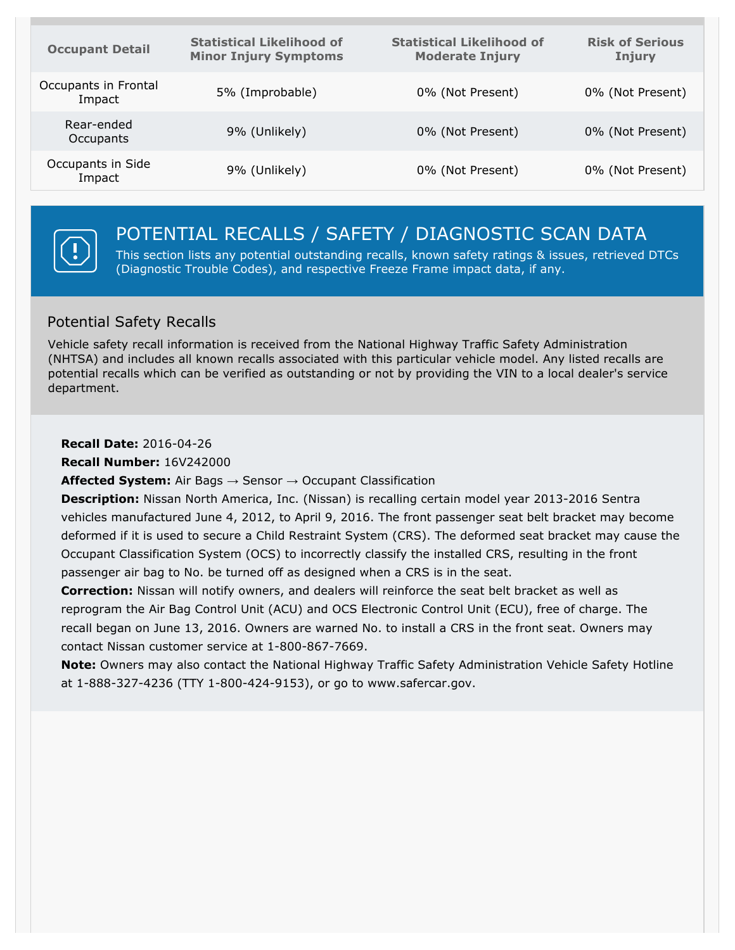| <b>Occupant Detail</b>         | <b>Statistical Likelihood of</b><br><b>Minor Injury Symptoms</b> | <b>Statistical Likelihood of</b><br><b>Moderate Injury</b> | <b>Risk of Serious</b><br>Injury |
|--------------------------------|------------------------------------------------------------------|------------------------------------------------------------|----------------------------------|
| Occupants in Frontal<br>Impact | 5% (Improbable)                                                  | 0% (Not Present)                                           | 0% (Not Present)                 |
| Rear-ended<br>Occupants        | 9% (Unlikely)                                                    | 0% (Not Present)                                           | 0% (Not Present)                 |
| Occupants in Side<br>Impact    | 9% (Unlikely)                                                    | 0% (Not Present)                                           | 0% (Not Present)                 |



# POTENTIAL RECALLS / SAFETY / DIAGNOSTIC SCAN DATA

This section lists any potential outstanding recalls, known safety ratings & issues, retrieved DTCs (Diagnostic Trouble Codes), and respective Freeze Frame impact data, if any.

# Potential Safety Recalls

Vehicle safety recall information is received from the National Highway Traffic Safety Administration (NHTSA) and includes all known recalls associated with this particular vehicle model. Any listed recalls are potential recalls which can be verified as outstanding or not by providing the VIN to a local dealer's service department.

**Recall Date:** 2016-04-26

**Recall Number:** 16V242000

**Affected System:** Air Bags → Sensor → Occupant Classification

**Description:** Nissan North America, Inc. (Nissan) is recalling certain model year 2013-2016 Sentra vehicles manufactured June 4, 2012, to April 9, 2016. The front passenger seat belt bracket may become deformed if it is used to secure a Child Restraint System (CRS). The deformed seat bracket may cause the Occupant Classification System (OCS) to incorrectly classify the installed CRS, resulting in the front passenger air bag to No. be turned off as designed when a CRS is in the seat.

**Correction:** Nissan will notify owners, and dealers will reinforce the seat belt bracket as wellas reprogram the Air Bag Control Unit (ACU) and OCS Electronic Control Unit (ECU), free of charge. The recall began on June 13, 2016. Owners are warned No. to install a CRS in the front seat. Owners may contact Nissan customer service at 1-800-867-7669.

**Note:** Owners may also contact the National Highway Traffic Safety Administration Vehicle Safety Hotline at 1-888-327-4236 (TTY 1-800-424-9153), or go to www.safercar.gov.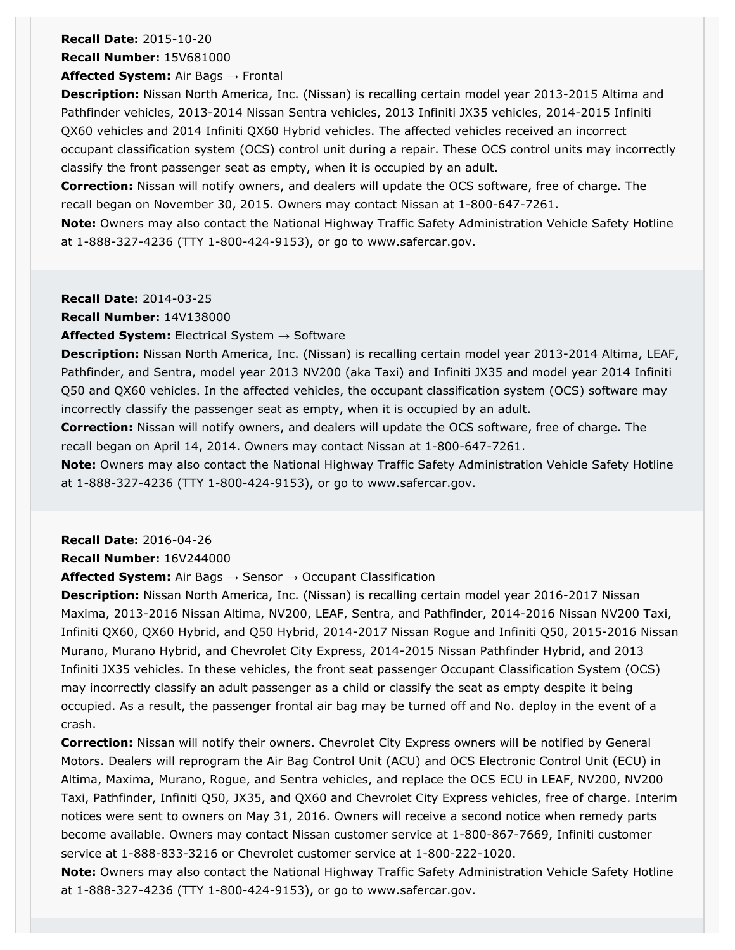# **Recall Date:** 2015-10-20

**Recall Number:** 15V681000

**Affected System:** Air Bags → Frontal

**Description:** Nissan North America, Inc. (Nissan) is recalling certain model year 2013-2015 Altima and Pathfinder vehicles, 2013-2014 Nissan Sentra vehicles, 2013 Infiniti JX35 vehicles, 2014-2015 Infiniti QX60 vehicles and 2014 Infiniti QX60 Hybrid vehicles. The affected vehicles received an incorrect occupant classification system (OCS) control unit during a repair. These OCS control units may incorrectly classify the front passenger seat as empty, when it is occupied by an adult.

**Correction:** Nissan will notify owners, and dealers will update the OCS software, free of charge. The recall began on November 30, 2015. Owners may contact Nissan at 1-800-647-7261.

**Note:** Owners may also contact the National Highway Traffic Safety Administration Vehicle Safety Hotline at 1-888-327-4236 (TTY 1-800-424-9153), or go to www.safercar.gov.

#### **Recall Date:** 2014-03-25

**Recall Number:** 14V138000

#### **Affected System:** Electrical System → Software

**Description:** Nissan North America, Inc. (Nissan) is recalling certain model year 2013-2014 Altima, LEAF, Pathfinder, and Sentra, model year 2013 NV200 (aka Taxi) and Infiniti JX35 and model year 2014 Infiniti Q50 and QX60 vehicles. In the affected vehicles, the occupant classification system (OCS) software may incorrectly classify the passenger seat as empty, when it is occupied by an adult.

**Correction:** Nissan will notify owners, and dealers will update the OCS software, free of charge. The recall began on April 14, 2014. Owners may contact Nissan at 1-800-647-7261.

**Note:** Owners may also contact the National Highway Traffic Safety Administration Vehicle Safety Hotline at 1-888-327-4236 (TTY 1-800-424-9153), or go to www.safercar.gov.

**Recall Date:** 2016-04-26

#### **Recall Number:** 16V244000

**Affected System:** Air Bags → Sensor → Occupant Classification

**Description:** Nissan North America, Inc. (Nissan) is recalling certain model year 2016-2017 Nissan Maxima, 2013-2016 Nissan Altima, NV200, LEAF, Sentra, and Pathfinder, 2014-2016 Nissan NV200 Taxi, Infiniti QX60, QX60 Hybrid, and Q50 Hybrid, 2014-2017 Nissan Rogue and Infiniti Q50, 2015-2016 Nissan Murano, Murano Hybrid, and Chevrolet City Express, 2014-2015 Nissan Pathfinder Hybrid, and 2013 Infiniti JX35 vehicles. In these vehicles, the front seat passenger Occupant Classification System (OCS) may incorrectly classify an adult passenger as a child or classify the seat as empty despite it being occupied. As a result, the passenger frontal air bag may be turned off and No. deploy in the event of a crash.

**Correction:** Nissan will notify their owners. Chevrolet City Express owners will be notified by General Motors. Dealers will reprogram the Air Bag Control Unit (ACU) and OCS Electronic Control Unit (ECU) in Altima, Maxima, Murano, Rogue, and Sentra vehicles, and replace the OCS ECU in LEAF, NV200, NV200 Taxi, Pathfinder, Infiniti Q50, JX35, and QX60 and Chevrolet City Express vehicles, free of charge. Interim notices were sent to owners on May 31, 2016. Owners will receive a second notice when remedy parts become available. Owners may contact Nissan customer service at 1-800-867-7669, Infiniti customer service at 1-888-833-3216 or Chevrolet customer service at 1-800-222-1020.

**Note:** Owners may also contact the National Highway Traffic Safety Administration Vehicle Safety Hotline at 1-888-327-4236 (TTY 1-800-424-9153), or go to www.safercar.gov.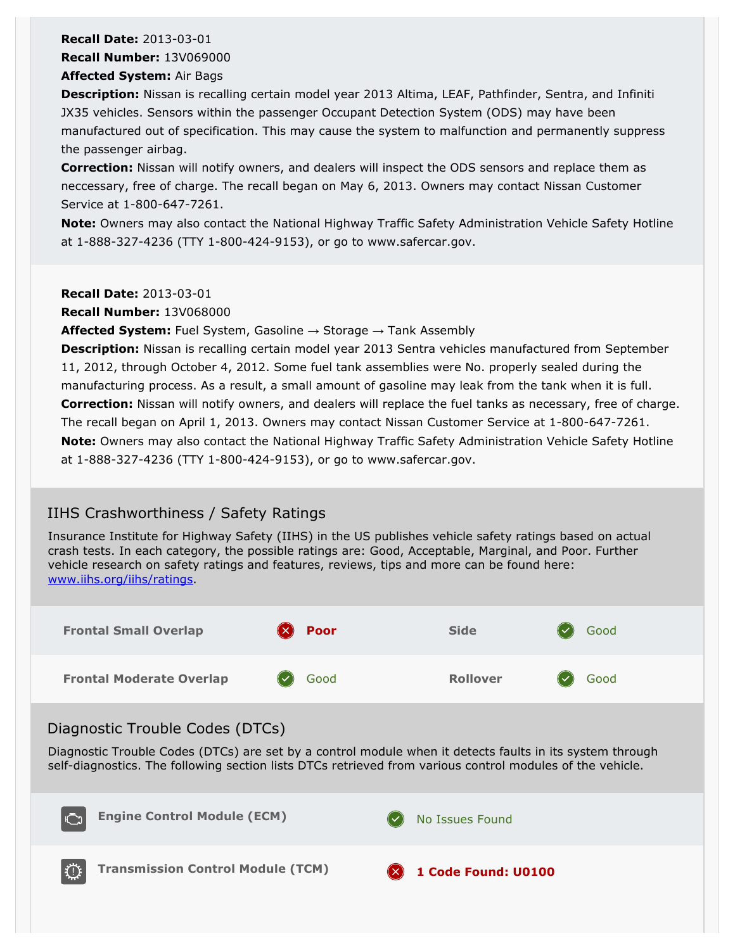# **Recall Date:** 2013-03-01

**Recall Number:** 13V069000

#### **Affected System:** Air Bags

**Description:** Nissan is recalling certain model year 2013 Altima, LEAF, Pathfinder, Sentra, and Infiniti JX35 vehicles. Sensors within the passenger Occupant Detection System (ODS) may have been manufactured out of specification. This may cause the system to malfunction and permanently suppress the passenger airbag.

**Correction:** Nissan will notify owners, and dealers will inspect the ODS sensors and replace them as neccessary, free of charge. The recall began on May 6, 2013. Owners may contact Nissan Customer Service at 1-800-647-7261.

**Note:** Owners may also contact the National Highway Traffic Safety Administration Vehicle Safety Hotline at 1-888-327-4236 (TTY 1-800-424-9153), or go to www.safercar.gov.

**Recall Date:** 2013-03-01

**Recall Number:** 13V068000

**Affected System:** Fuel System, Gasoline → Storage → Tank Assembly

**Description:** Nissan is recalling certain model year 2013 Sentra vehicles manufactured from September 11, 2012, through October 4, 2012. Some fuel tank assemblies were No. properly sealed during the manufacturing process. As a result, a small amount of gasoline may leak from the tank when it is full. **Correction:** Nissan will notify owners, and dealers will replace the fuel tanks as necessary, free of charge. The recall began on April 1, 2013. Owners may contact Nissan Customer Service at 1-800-647-7261. **Note:** Owners may also contact the National Highway Traffic Safety Administration Vehicle Safety Hotline at 1-888-327-4236 (TTY 1-800-424-9153), or go to www.safercar.gov.

# IIHS Crashworthiness / Safety Ratings

Insurance Institute for Highway Safety (IIHS) in the US publishes vehicle safety ratings based on actual crash tests. In each category, the possible ratings are: Good, Acceptable, Marginal, and Poor. Further vehicle research on safety ratings and features, reviews, tips and more can be found here: [www.iihs.org/iihs/ratings.](https://www.iihs.org/iihs/ratings)



# Diagnostic Trouble Codes (DTCs)

Diagnostic Trouble Codes (DTCs) are set by a control module when it detects faults in its system through self-diagnostics. The following section lists DTCs retrieved from various control modules of the vehicle.

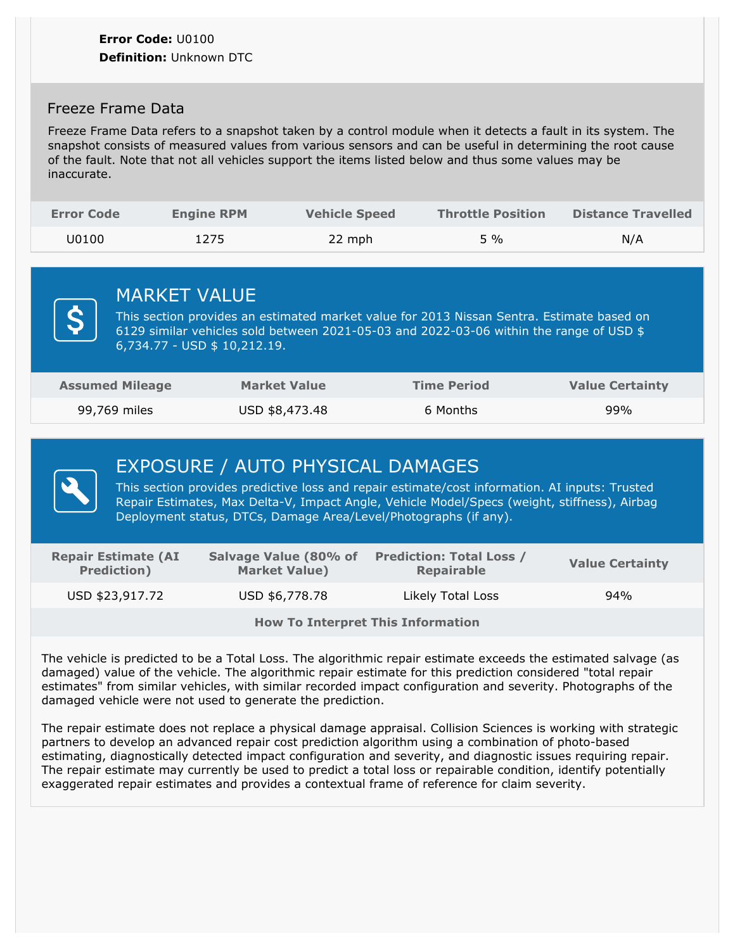# Freeze Frame Data

Freeze Frame Data refers to a snapshot taken by a control module when it detects a fault in its system. The snapshot consists of measured values from various sensors and can be useful in determining the root cause of the fault. Note that not all vehicles support the items listed below and thus some values may be inaccurate.

| <b>Error Code</b> | <b>Engine RPM</b> | <b>Vehicle Speed</b> | <b>Throttle Position</b> | <b>Distance Travelled</b> |
|-------------------|-------------------|----------------------|--------------------------|---------------------------|
| J0100             | 1275              | 22 mph               | 5 %                      | N/A                       |





# EXPOSURE / AUTO PHYSICAL DAMAGES

This section provides predictive loss and repair estimate/cost information. AI inputs: Trusted Repair Estimates, Max Delta-V, Impact Angle, Vehicle Model/Specs (weight, stiffness), Airbag Deployment status, DTCs, Damage Area/Level/Photographs (if any).

| <b>Repair Estimate (AI</b><br><b>Prediction</b> ) | Salvage Value (80% of<br><b>Market Value)</b> | <b>Prediction: Total Loss /</b><br><b>Repairable</b> | <b>Value Certainty</b> |  |
|---------------------------------------------------|-----------------------------------------------|------------------------------------------------------|------------------------|--|
| USD \$23,917.72                                   | USD \$6,778.78                                | Likely Total Loss                                    | 94%                    |  |

**How To Interpret This Information**

The vehicle is predicted to be a Total Loss. The algorithmic repair estimate exceeds the estimated salvage (as damaged) value of the vehicle. The algorithmic repair estimate for this prediction considered "total repair estimates" from similar vehicles, with similar recorded impact configuration and severity. Photographs of the damaged vehicle were not used to generate the prediction.

The repair estimate does not replace a physical damage appraisal. Collision Sciences is working with strategic partners to develop an advanced repair cost prediction algorithm using a combination of photo-based estimating, diagnostically detected impact configuration and severity, and diagnostic issues requiring repair.<br>The repair estimate may currently be used to predict a total loss or repairable condition, identify potentially exaggerated repair estimates and provides a contextual frame of reference for claim severity.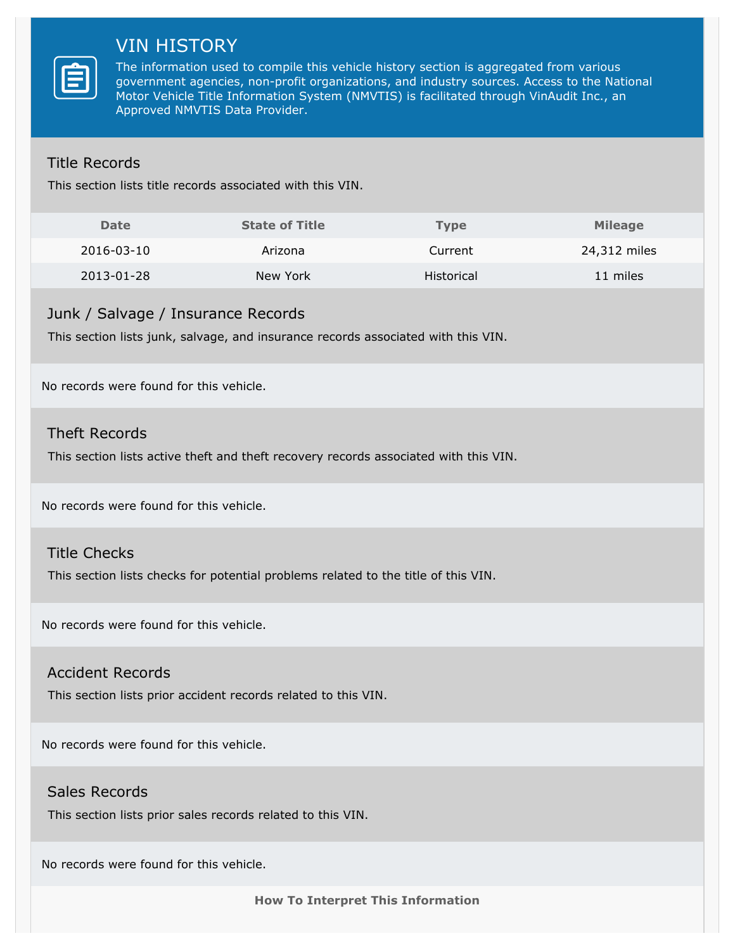# VIN HISTORY

The information used to compile this vehicle history section is aggregated from various government agencies, non-profit organizations, and industry sources. Access to the National Motor Vehicle Title Information System (NMVTIS) is facilitated through VinAudit Inc., an Approved NMVTIS Data Provider.

# Title Records

This section lists title records associated with this VIN.

| <b>Date</b> | <b>State of Title</b> | <b>Type</b> | <b>Mileage</b> |
|-------------|-----------------------|-------------|----------------|
| 2016-03-10  | Arizona               | Current     | 24,312 miles   |
| 2013-01-28  | New York              | Historical  | 11 miles       |

### Junk / Salvage / Insurance Records

This section lists junk, salvage, and insurance records associated with this VIN.

No records were found for this vehicle.

### Theft Records

This section lists active theft and theft recovery records associated with this VIN.

No records were found for this vehicle.

### Title Checks

This section lists checks for potential problems related to the title of this VIN.

No records were found for this vehicle.

### Accident Records

This section lists prior accident records related to this VIN.

No records were found for this vehicle.

### Sales Records

This section lists prior sales records related to this VIN.

No records were found for this vehicle.

**How To Interpret This Information**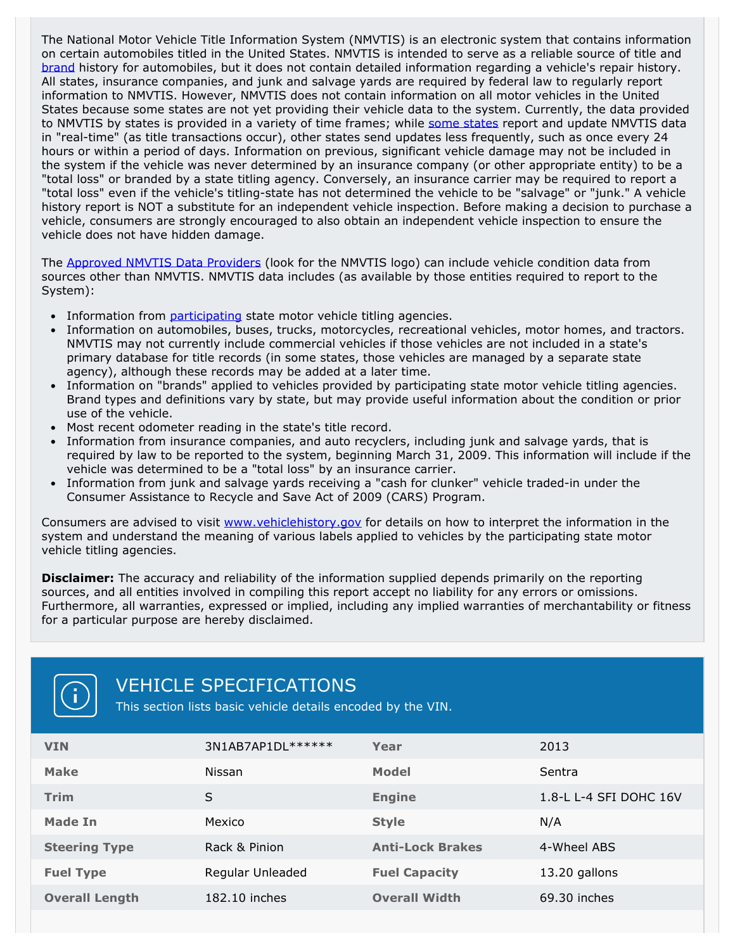The National Motor Vehicle Title Information System (NMVTIS) is an electronic system that contains information on certain automobiles titled in the United States. NMVTIS is intended to serve as a reliable source of title and [brand](https://www.vehiclehistory.gov/nmvtis_glossary.html) history for automobiles, but it does not contain detailed information regarding a vehicle's repair history.<br>All states, insurance companies, and junk and salvage yards are required by federal law to regularly report information to NMVTIS. However, NMVTIS does not contain information on all motor vehicles in the United States because some states are not yet providing their vehicle data to the system. Currently, the data provided to NMVTIS by [states](https://www.vehiclehistory.gov/nmvtis_states.html) is provided in a variety of time frames; while some states report and update NMVTIS data in "real-time" (as title transactions occur), other states send updates less frequently, such as once every 24 hours or within a period of days. Information on previous, significant vehicle damage may not be included in the system if the vehicle was never determined by an insurance company (or other appropriate entity) to be a "total loss" or branded by a state titling agency. Conversely, an insurance carrier may be required to report a "total loss" even if the vehicle's titling-state has not determined the vehicle to be "salvage" or "junk." A vehicle history report is NOT a substitute for an independent vehicle inspection. Before making a decision to purchase a vehicle, consumers are strongly encouraged to also obtain an independent vehicle inspection to ensure the vehicle does not have hidden damage.

The [Approved](https://www.vehiclehistory.gov/nmvtis_vehiclehistory.html) NMVTIS Data Providers (look for the NMVTIS logo) can include vehicle condition data from sources other than NMVTIS. NMVTIS data includes (as available by those entities required to report to the System):

- Information from [participating](https://www.vehiclehistory.gov/nmvtis_states.html) state motor vehicle titling agencies.
- Information on automobiles, buses, trucks, motorcycles, recreational vehicles, motor homes, and tractors. NMVTIS may not currently include commercial vehicles if those vehicles are not included in a state's primary database for title records (in some states, those vehicles are managed by a separate state agency), although these records may be added at a later time.<br>• Information on "brands" applied to vehicles provided by participating state motor vehicle titling agencies.
- Brand types and definitions vary by state, but may provide useful information about the condition or prior use of the vehicle.
- 
- Most recent odometer reading in the state's title record.<br>• Information from insurance companies, and auto recyclers, including junk and salvage yards, that is required by law to be reported to the system, beginning March 31, 2009. This information will include if the vehicle was determined to be a "total loss" by an insurance carrier.
- Information from junk and salvage yards receiving a "cash for clunker" vehicle traded-in under the Consumer Assistance to Recycle and Save Act of 2009 (CARS) Program.

Consumers are advised to visit [www.vehiclehistory.gov](https://www.vehiclehistory.gov/) for details on how to interpret the information in the system and understand the meaning of various labels applied to vehicles by the participating state motor vehicle titling agencies.

**Disclaimer:** The accuracy and reliability of the information supplied depends primarily on the reporting sources, and all entities involved in compiling this report accept no liability for any errors or omissions. Furthermore, all warranties, expressed or implied, including any implied warranties of merchantability or fitness for a particular purpose are hereby disclaimed.



# VEHICLE SPECIFICATIONS

This section lists basic vehicle details encoded by the VIN.

| <b>VIN</b>            | 3N1AB7AP1DL****** | Year                    | 2013                   |
|-----------------------|-------------------|-------------------------|------------------------|
| <b>Make</b>           | Nissan            | <b>Model</b>            | Sentra                 |
| <b>Trim</b>           | S                 | <b>Engine</b>           | 1.8-L L-4 SFI DOHC 16V |
| Made In               | Mexico            | <b>Style</b>            | N/A                    |
| <b>Steering Type</b>  | Rack & Pinion     | <b>Anti-Lock Brakes</b> | 4-Wheel ABS            |
| <b>Fuel Type</b>      | Regular Unleaded  | <b>Fuel Capacity</b>    | 13.20 gallons          |
| <b>Overall Length</b> | 182.10 inches     | <b>Overall Width</b>    | 69.30 inches           |